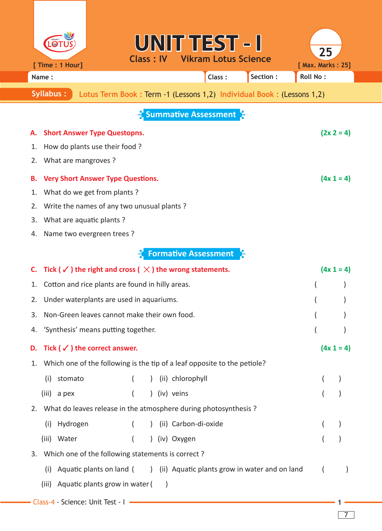|                                                                                             |                                                                                                  |                                                                          |                               | UNIT TEST - I                         |          | 25                |              |  |
|---------------------------------------------------------------------------------------------|--------------------------------------------------------------------------------------------------|--------------------------------------------------------------------------|-------------------------------|---------------------------------------|----------|-------------------|--------------|--|
|                                                                                             | [ Time : 1 Hour]                                                                                 |                                                                          |                               | <b>Class: IV Vikram Lotus Science</b> |          | [ Max. Marks: 25] |              |  |
|                                                                                             | Name:                                                                                            |                                                                          |                               | Class:                                | Section: | <b>Roll No:</b>   |              |  |
| <b>Syllabus:</b><br>Lotus Term Book : Term -1 (Lessons 1,2) Individual Book : (Lessons 1,2) |                                                                                                  |                                                                          |                               |                                       |          |                   |              |  |
| <b>E</b> Summative Assessment                                                               |                                                                                                  |                                                                          |                               |                                       |          |                   |              |  |
| А.                                                                                          |                                                                                                  | <b>Short Answer Type Questopns.</b>                                      |                               |                                       |          |                   | $(2x 2 = 4)$ |  |
| 1.                                                                                          |                                                                                                  | How do plants use their food?                                            |                               |                                       |          |                   |              |  |
| 2.                                                                                          | What are mangroves?                                                                              |                                                                          |                               |                                       |          |                   |              |  |
| в.                                                                                          |                                                                                                  | <b>Very Short Answer Type Questions.</b>                                 |                               |                                       |          |                   | $(4x 1 = 4)$ |  |
| 1.                                                                                          |                                                                                                  | What do we get from plants?                                              |                               |                                       |          |                   |              |  |
| 2.                                                                                          |                                                                                                  | Write the names of any two unusual plants?                               |                               |                                       |          |                   |              |  |
| 3.                                                                                          |                                                                                                  | What are aquatic plants?                                                 |                               |                                       |          |                   |              |  |
| 4.                                                                                          |                                                                                                  | Name two evergreen trees ?                                               |                               |                                       |          |                   |              |  |
|                                                                                             |                                                                                                  |                                                                          |                               | <b>Formative Assessment</b>           |          |                   |              |  |
| C.                                                                                          | Tick ( $\checkmark$ ) the right and cross ( $\checkmark$ ) the wrong statements.<br>$(4x 1 = 4)$ |                                                                          |                               |                                       |          |                   |              |  |
| 1.                                                                                          | Cotton and rice plants are found in hilly areas.                                                 |                                                                          |                               |                                       |          |                   |              |  |
| 2.                                                                                          | Under waterplants are used in aquariums.                                                         |                                                                          |                               |                                       |          |                   |              |  |
| 3.                                                                                          | Non-Green leaves cannot make their own food.                                                     |                                                                          |                               |                                       |          |                   |              |  |
| 4.                                                                                          | 'Synthesis' means putting together.                                                              |                                                                          |                               |                                       |          |                   |              |  |
| D.                                                                                          | Tick ( $\checkmark$ ) the correct answer.<br>$(4x 1 = 4)$                                        |                                                                          |                               |                                       |          |                   |              |  |
| 1.                                                                                          |                                                                                                  | Which one of the following is the tip of a leaf opposite to the petiole? |                               |                                       |          |                   |              |  |
|                                                                                             | stomato<br>(i)                                                                                   |                                                                          | (ii) chlorophyll<br>$\lambda$ |                                       |          |                   |              |  |
|                                                                                             | $(iii)$ a pex                                                                                    |                                                                          | ) (iv) veins                  |                                       |          |                   |              |  |
|                                                                                             |                                                                                                  | 2. What do leaves release in the atmosphere during photosynthesis ?      |                               |                                       |          |                   |              |  |
|                                                                                             | Hydrogen<br>(i)                                                                                  |                                                                          |                               | (ii) Carbon-di-oxide                  |          |                   |              |  |
|                                                                                             | (iii) Water                                                                                      |                                                                          | ) (iv) Oxygen                 |                                       |          |                   |              |  |
| 3.                                                                                          |                                                                                                  | Which one of the following statements is correct?                        |                               |                                       |          |                   |              |  |
|                                                                                             | (i)                                                                                              | Aquatic plants on land () (ii) Aquatic plants grow in water and on land  |                               |                                       |          |                   |              |  |
|                                                                                             | (iii)                                                                                            | Aquatic plants grow in water (                                           |                               |                                       |          |                   |              |  |
|                                                                                             |                                                                                                  | - Class-4 - Science: Unit Test - I                                       |                               |                                       |          |                   |              |  |

 $\boxed{7}$